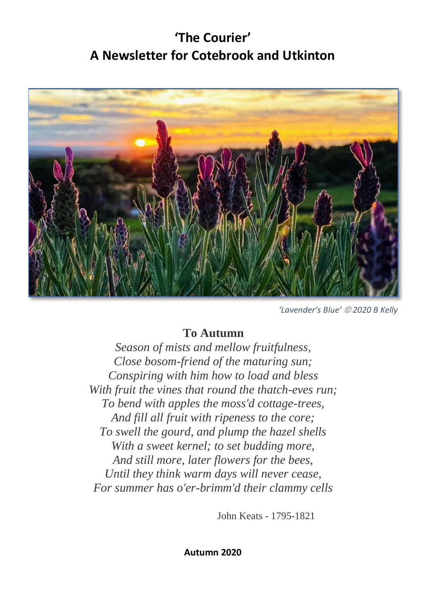# **'The Courier' A Newsletter for Cotebrook and Utkinton**



*'Lavender's Blue'* © *2020 B Kelly*

### **To Autumn**

*Season of mists and mellow fruitfulness, Close bosom-friend of the maturing sun; Conspiring with him how to load and bless With fruit the vines that round the thatch-eves run; To bend with apples the moss'd cottage-trees, And fill all fruit with ripeness to the core; To swell the gourd, and plump the hazel shells With a sweet kernel; to set budding more, And still more, later flowers for the bees, Until they think warm days will never cease, For summer has o'er-brimm'd their clammy [cells](https://poets.org/poem/autumn)*

John Keats - 1795-1821

**Autumn 2020**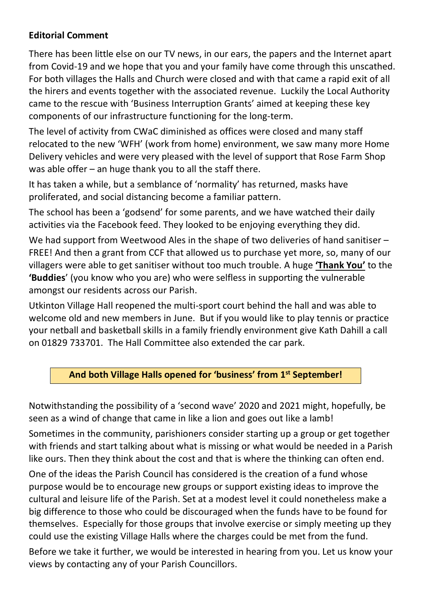#### **Editorial Comment**

There has been little else on our TV news, in our ears, the papers and the Internet apart from Covid-19 and we hope that you and your family have come through this unscathed. For both villages the Halls and Church were closed and with that came a rapid exit of all the hirers and events together with the associated revenue. Luckily the Local Authority came to the rescue with 'Business Interruption Grants' aimed at keeping these key components of our infrastructure functioning for the long-term.

The level of activity from CWaC diminished as offices were closed and many staff relocated to the new 'WFH' (work from home) environment, we saw many more Home Delivery vehicles and were very pleased with the level of support that Rose Farm Shop was able offer – an huge thank you to all the staff there.

It has taken a while, but a semblance of 'normality' has returned, masks have proliferated, and social distancing become a familiar pattern.

The school has been a 'godsend' for some parents, and we have watched their daily activities via the Facebook feed. They looked to be enjoying everything they did.

We had support from Weetwood Ales in the shape of two deliveries of hand sanitiser – FREE! And then a grant from CCF that allowed us to purchase yet more, so, many of our villagers were able to get sanitiser without too much trouble. A huge **'Thank You'** to the **'Buddies**' (you know who you are) who were selfless in supporting the vulnerable amongst our residents across our Parish.

Utkinton Village Hall reopened the multi-sport court behind the hall and was able to welcome old and new members in June. But if you would like to play tennis or practice your netball and basketball skills in a family friendly environment give Kath Dahill a call on 01829 733701. The Hall Committee also extended the car park.

#### **And both Village Halls opened for 'business' from 1st September!**

Notwithstanding the possibility of a 'second wave' 2020 and 2021 might, hopefully, be seen as a wind of change that came in like a lion and goes out like a lamb!

Sometimes in the community, parishioners consider starting up a group or get together with friends and start talking about what is missing or what would be needed in a Parish like ours. Then they think about the cost and that is where the thinking can often end.

One of the ideas the Parish Council has considered is the creation of a fund whose purpose would be to encourage new groups or support existing ideas to improve the cultural and leisure life of the Parish. Set at a modest level it could nonetheless make a big difference to those who could be discouraged when the funds have to be found for themselves. Especially for those groups that involve exercise or simply meeting up they could use the existing Village Halls where the charges could be met from the fund.

Before we take it further, we would be interested in hearing from you. Let us know your views by contacting any of your Parish Councillors.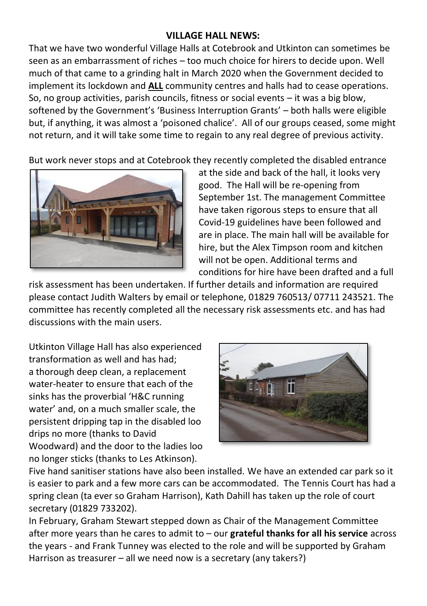#### **VILLAGE HALL NEWS:**

That we have two wonderful Village Halls at Cotebrook and Utkinton can sometimes be seen as an embarrassment of riches – too much choice for hirers to decide upon. Well much of that came to a grinding halt in March 2020 when the Government decided to implement its lockdown and **ALL** community centres and halls had to cease operations. So, no group activities, parish councils, fitness or social events – it was a big blow, softened by the Government's 'Business Interruption Grants' – both halls were eligible but, if anything, it was almost a 'poisoned chalice'. All of our groups ceased, some might not return, and it will take some time to regain to any real degree of previous activity.

But work never stops and at Cotebrook they recently completed the disabled entrance



at the side and back of the hall, it looks very good. The Hall will be re-opening from September 1st. The management Committee have taken rigorous steps to ensure that all Covid-19 guidelines have been followed and are in place. The main hall will be available for hire, but the Alex Timpson room and kitchen will not be open. Additional terms and conditions for hire have been drafted and a full

risk assessment has been undertaken. If further details and information are required please contact Judith Walters by email or telephone, 01829 760513/ 07711 243521. The committee has recently completed all the necessary risk assessments etc. and has had discussions with the main users.

Utkinton Village Hall has also experienced transformation as well and has had; a thorough deep clean, a replacement water-heater to ensure that each of the sinks has the proverbial 'H&C running water' and, on a much smaller scale, the persistent dripping tap in the disabled loo drips no more (thanks to David Woodward) and the door to the ladies loo no longer sticks (thanks to Les Atkinson).



Five hand sanitiser stations have also been installed. We have an extended car park so it is easier to park and a few more cars can be accommodated. The Tennis Court has had a spring clean (ta ever so Graham Harrison), Kath Dahill has taken up the role of court secretary (01829 733202).

In February, Graham Stewart stepped down as Chair of the Management Committee after more years than he cares to admit to – our **grateful thanks for all his service** across the years - and Frank Tunney was elected to the role and will be supported by Graham Harrison as treasurer – all we need now is a secretary (any takers?)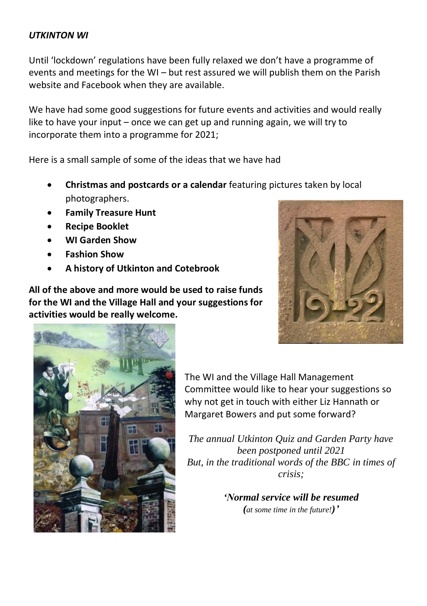#### *UTKINTON WI*

Until 'lockdown' regulations have been fully relaxed we don't have a programme of events and meetings for the WI – but rest assured we will publish them on the Parish website and Facebook when they are available.

We have had some good suggestions for future events and activities and would really like to have your input – once we can get up and running again, we will try to incorporate them into a programme for 2021;

Here is a small sample of some of the ideas that we have had

- **Christmas and postcards or a calendar** featuring pictures taken by local photographers.
- **Family Treasure Hunt**
- **Recipe Booklet**
- **WI Garden Show**
- **Fashion Show**
- **A history of Utkinton and Cotebrook**

**All of the above and more would be used to raise funds for the WI and the Village Hall and your suggestions for activities would be really welcome.**





The WI and the Village Hall Management Committee would like to hear your suggestions so why not get in touch with either Liz Hannath or Margaret Bowers and put some forward?

*The annual Utkinton Quiz and Garden Party have been postponed until 2021 But, in the traditional words of the BBC in times of crisis;*

> *'Normal service will be resumed (at some time in the future!)'*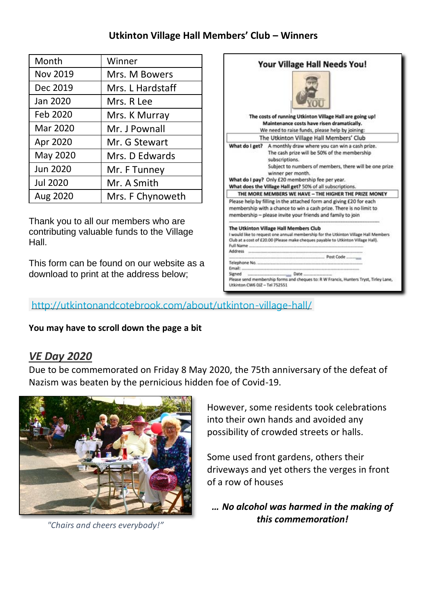#### **Utkinton Village Hall Members' Club – Winners**

| Month           | Winner           |
|-----------------|------------------|
| Nov 2019        | Mrs. M Bowers    |
| Dec 2019        | Mrs. L Hardstaff |
| Jan 2020        | Mrs. R Lee       |
| Feb 2020        | Mrs. K Murray    |
| Mar 2020        | Mr. J Pownall    |
| Apr 2020        | Mr. G Stewart    |
| May 2020        | Mrs. D Edwards   |
| Jun 2020        | Mr. F Tunney     |
| <b>Jul 2020</b> | Mr. A Smith      |
| Aug 2020        | Mrs. F Chynoweth |

Thank you to all our members who are contributing valuable funds to the Village Hall.

This form can be found on our website as a download to print at the address below;

|                                         | Your Village Hall Needs You!                                                                                                                                                                                                                                                                                                    |
|-----------------------------------------|---------------------------------------------------------------------------------------------------------------------------------------------------------------------------------------------------------------------------------------------------------------------------------------------------------------------------------|
|                                         | The costs of running Utkinton Village Hall are going up!                                                                                                                                                                                                                                                                        |
|                                         | Maintenance costs have risen dramatically.                                                                                                                                                                                                                                                                                      |
|                                         | We need to raise funds, please help by joining:                                                                                                                                                                                                                                                                                 |
|                                         | The Utkinton Village Hall Members' Club                                                                                                                                                                                                                                                                                         |
|                                         | What do I get? A monthly draw where you can win a cash prize.<br>The cash prize will be 50% of the membership<br>subscriptions.<br>Subject to numbers of members, there will be one prize<br>winner per month.<br>What do I pay? Only £20 membership fee per year.<br>What does the Village Hall get? 50% of all subscriptions. |
|                                         | THE MORE MEMBERS WE HAVE - THE HIGHER THE PRIZE MONEY                                                                                                                                                                                                                                                                           |
|                                         | Please help by filling in the attached form and giving £20 for each<br>membership with a chance to win a cash prize. There is no limit to<br>membership - please invite your friends and family to join                                                                                                                         |
| Full Name<br>Address                    | The Utkinton Village Hall Members Club<br>I would like to request one annual membership for the Utkinton Village Hall Members<br>Club at a cost of £20.00 (Please make cheques payable to Utkinton Village Hall).                                                                                                               |
|                                         |                                                                                                                                                                                                                                                                                                                                 |
| Telephone No.                           |                                                                                                                                                                                                                                                                                                                                 |
| Email:                                  |                                                                                                                                                                                                                                                                                                                                 |
| Signed<br>Utkinton CW6 017 - Tel 752551 | Please send membership forms and cheques to: R W Francis, Hunters Tryst, Tirley Lane,                                                                                                                                                                                                                                           |

#### <http://utkintonandcotebrook.com/about/utkinton-village-hall/>

#### **You may have to scroll down the page a bit**

### *VE Day 2020*

Due to be commemorated on Friday 8 May 2020, the 75th anniversary of the defeat of Nazism was beaten by the pernicious hidden foe of Covid-19.



*"Chairs and cheers everybody!"*

However, some residents took celebrations into their own hands and avoided any possibility of crowded streets or halls.

Some used front gardens, others their driveways and yet others the verges in front of a row of houses

*… No alcohol was harmed in the making of this commemoration!*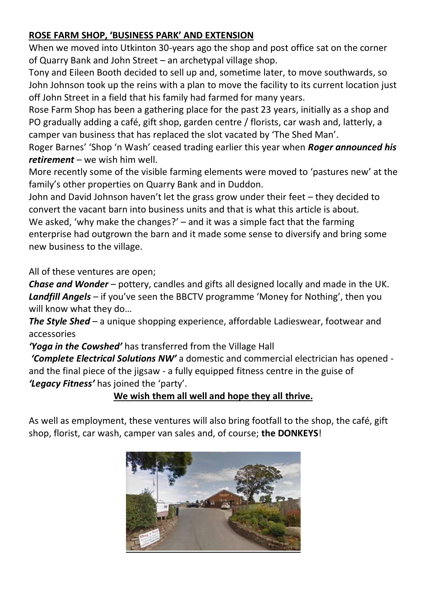#### **ROSE FARM SHOP, 'BUSINESS PARK' AND EXTENSION**

When we moved into Utkinton 30-years ago the shop and post office sat on the corner of Quarry Bank and John Street – an archetypal village shop.

Tony and Eileen Booth decided to sell up and, sometime later, to move southwards, so John Johnson took up the reins with a plan to move the facility to its current location just off John Street in a field that his family had farmed for many years.

Rose Farm Shop has been a gathering place for the past 23 years, initially as a shop and PO gradually adding a café, gift shop, garden centre / florists, car wash and, latterly, a camper van business that has replaced the slot vacated by 'The Shed Man'.

Roger Barnes' 'Shop 'n Wash' ceased trading earlier this year when *Roger announced his retirement* – we wish him well.

More recently some of the visible farming elements were moved to 'pastures new' at the family's other properties on Quarry Bank and in Duddon.

John and David Johnson haven't let the grass grow under their feet – they decided to convert the vacant barn into business units and that is what this article is about. We asked, 'why make the changes?' – and it was a simple fact that the farming enterprise had outgrown the barn and it made some sense to diversify and bring some new business to the village.

All of these ventures are open;

*Chase and Wonder* – pottery, candles and gifts all designed locally and made in the UK. *Landfill Angels* – if you've seen the BBCTV programme 'Money for Nothing', then you will know what they do…

*The Style Shed* – a unique shopping experience, affordable Ladieswear, footwear and accessories

*'Yoga in the Cowshed'* has transferred from the Village Hall

*'Complete Electrical Solutions NW'* a domestic and commercial electrician has opened and the final piece of the jigsaw - a fully equipped fitness centre in the guise of *'Legacy Fitness'* has joined the 'party'.

### **We wish them all well and hope they all thrive.**

As well as employment, these ventures will also bring footfall to the shop, the café, gift shop, florist, car wash, camper van sales and, of course; **the DONKEYS**!

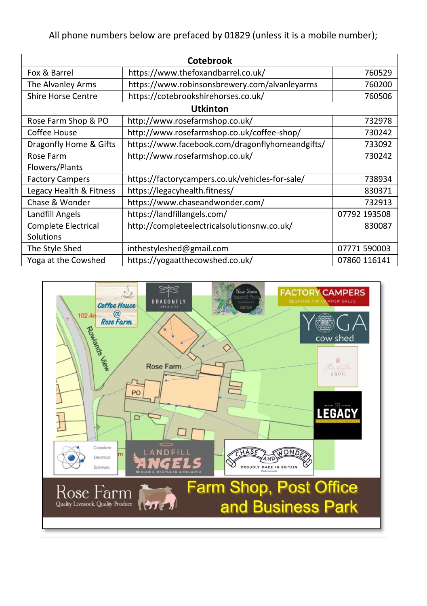All phone numbers below are prefaced by 01829 (unless it is a mobile number);

| Cotebrook                 |                                                 |              |  |
|---------------------------|-------------------------------------------------|--------------|--|
| Fox & Barrel              | https://www.thefoxandbarrel.co.uk/              | 760529       |  |
| The Alvanley Arms         | https://www.robinsonsbrewery.com/alvanleyarms   | 760200       |  |
| <b>Shire Horse Centre</b> | https://cotebrookshirehorses.co.uk/             | 760506       |  |
|                           | <b>Utkinton</b>                                 |              |  |
| Rose Farm Shop & PO       | http://www.rosefarmshop.co.uk/                  | 732978       |  |
| Coffee House              | http://www.rosefarmshop.co.uk/coffee-shop/      | 730242       |  |
| Dragonfly Home & Gifts    | https://www.facebook.com/dragonflyhomeandgifts/ | 733092       |  |
| Rose Farm                 | http://www.rosefarmshop.co.uk/                  | 730242       |  |
| Flowers/Plants            |                                                 |              |  |
| <b>Factory Campers</b>    | https://factorycampers.co.uk/vehicles-for-sale/ | 738934       |  |
| Legacy Health & Fitness   | https://legacyhealth.fitness/                   | 830371       |  |
| Chase & Wonder            | https://www.chaseandwonder.com/                 | 732913       |  |
| Landfill Angels           | https://landfillangels.com/                     | 07792 193508 |  |
| Complete Electrical       | http://completeelectricalsolutionsnw.co.uk/     | 830087       |  |
| Solutions                 |                                                 |              |  |
| The Style Shed            | inthestyleshed@gmail.com                        | 07771 590003 |  |
| Yoga at the Cowshed       | https://yogaatthecowshed.co.uk/                 | 07860 116141 |  |

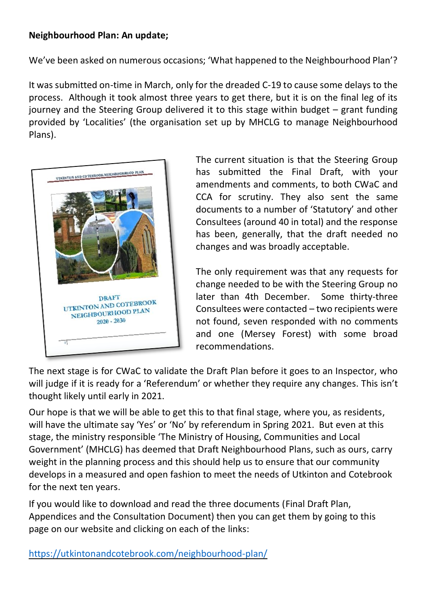#### **Neighbourhood Plan: An update;**

We've been asked on numerous occasions; 'What happened to the Neighbourhood Plan'?

It was submitted on-time in March, only for the dreaded C-19 to cause some delays to the process. Although it took almost three years to get there, but it is on the final leg of its journey and the Steering Group delivered it to this stage within budget – grant funding provided by 'Localities' (the organisation set up by MHCLG to manage Neighbourhood Plans).



The current situation is that the Steering Group has submitted the Final Draft, with your amendments and comments, to both CWaC and CCA for scrutiny. They also sent the same documents to a number of 'Statutory' and other Consultees (around 40 in total) and the response has been, generally, that the draft needed no changes and was broadly acceptable.

The only requirement was that any requests for change needed to be with the Steering Group no later than 4th December. Some thirty-three Consultees were contacted – two recipients were not found, seven responded with no comments and one (Mersey Forest) with some broad recommendations.

The next stage is for CWaC to validate the Draft Plan before it goes to an Inspector, who will judge if it is ready for a 'Referendum' or whether they require any changes. This isn't thought likely until early in 2021.

Our hope is that we will be able to get this to that final stage, where you, as residents, will have the ultimate say 'Yes' or 'No' by referendum in Spring 2021. But even at this stage, the ministry responsible 'The Ministry of Housing, Communities and Local Government' (MHCLG) has deemed that Draft Neighbourhood Plans, such as ours, carry weight in the planning process and this should help us to ensure that our community develops in a measured and open fashion to meet the needs of Utkinton and Cotebrook for the next ten years.

If you would like to download and read the three documents (Final Draft Plan, Appendices and the Consultation Document) then you can get them by going to this page on our website and clicking on each of the links:

<https://utkintonandcotebrook.com/neighbourhood-plan/>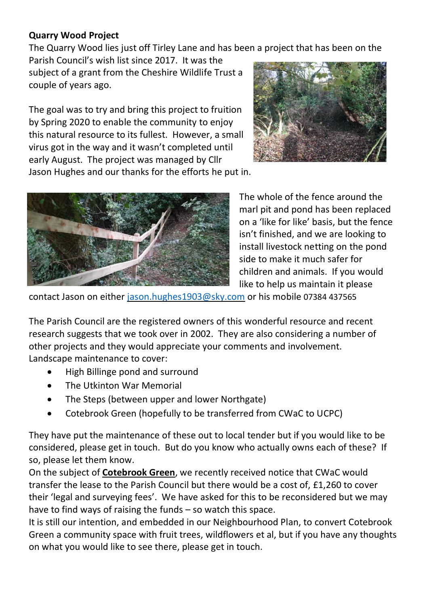#### **Quarry Wood Project**

The Quarry Wood lies just off Tirley Lane and has been a project that has been on the Parish Council's wish list since 2017. It was the

subject of a grant from the Cheshire Wildlife Trust a couple of years ago.

The goal was to try and bring this project to fruition by Spring 2020 to enable the community to enjoy this natural resource to its fullest. However, a small virus got in the way and it wasn't completed until early August. The project was managed by Cllr Jason Hughes and our thanks for the efforts he put in.





The whole of the fence around the marl pit and pond has been replaced on a 'like for like' basis, but the fence isn't finished, and we are looking to install livestock netting on the pond side to make it much safer for children and animals. If you would like to help us maintain it please

contact Jason on either [jason.hughes1903@sky.com](mailto:jason.hughes1903@sky.com) or his mobile 07384 437565

The Parish Council are the registered owners of this wonderful resource and recent research suggests that we took over in 2002. They are also considering a number of other projects and they would appreciate your comments and involvement. Landscape maintenance to cover:

- High Billinge pond and surround
- The Utkinton War Memorial
- The Steps (between upper and lower Northgate)
- Cotebrook Green (hopefully to be transferred from CWaC to UCPC)

They have put the maintenance of these out to local tender but if you would like to be considered, please get in touch. But do you know who actually owns each of these? If so, please let them know.

On the subject of **Cotebrook Green**, we recently received notice that CWaC would transfer the lease to the Parish Council but there would be a cost of, £1,260 to cover their 'legal and surveying fees'. We have asked for this to be reconsidered but we may have to find ways of raising the funds – so watch this space.

It is still our intention, and embedded in our Neighbourhood Plan, to convert Cotebrook Green a community space with fruit trees, wildflowers et al, but if you have any thoughts on what you would like to see there, please get in touch.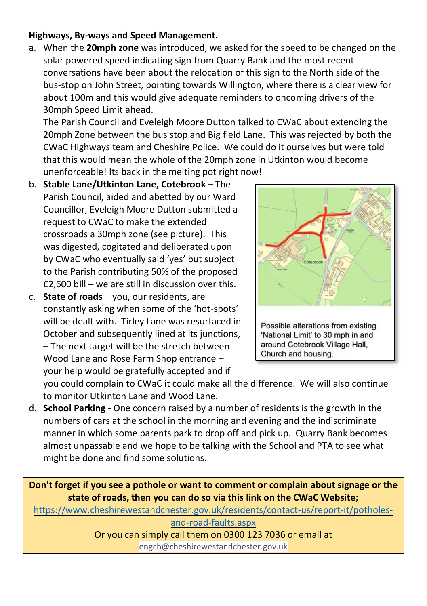#### **Highways, By-ways and Speed Management.**

a. When the **20mph zone** was introduced, we asked for the speed to be changed on the solar powered speed indicating sign from Quarry Bank and the most recent conversations have been about the relocation of this sign to the North side of the bus-stop on John Street, pointing towards Willington, where there is a clear view for about 100m and this would give adequate reminders to oncoming drivers of the 30mph Speed Limit ahead.

The Parish Council and Eveleigh Moore Dutton talked to CWaC about extending the 20mph Zone between the bus stop and Big field Lane. This was rejected by both the CWaC Highways team and Cheshire Police. We could do it ourselves but were told that this would mean the whole of the 20mph zone in Utkinton would become unenforceable! Its back in the melting pot right now!

- b. **Stable Lane/Utkinton Lane, Cotebrook** The Parish Council, aided and abetted by our Ward Councillor, Eveleigh Moore Dutton submitted a request to CWaC to make the extended crossroads a 30mph zone (see picture). This was digested, cogitated and deliberated upon by CWaC who eventually said 'yes' but subject to the Parish contributing 50% of the proposed £2,600 bill – we are still in discussion over this.
- c. **State of roads** you, our residents, are constantly asking when some of the 'hot-spots' will be dealt with. Tirley Lane was resurfaced in October and subsequently lined at its junctions, – The next target will be the stretch between Wood Lane and Rose Farm Shop entrance – your help would be gratefully accepted and if



you could complain to CWaC it could make all the difference. We will also continue to monitor Utkinton Lane and Wood Lane.

d. **School Parking** - One concern raised by a number of residents is the growth in the numbers of cars at the school in the morning and evening and the indiscriminate manner in which some parents park to drop off and pick up. Quarry Bank becomes almost unpassable and we hope to be talking with the School and PTA to see what might be done and find some solutions.

**Don't forget if you see a pothole or want to comment or complain about signage or the state of roads, then you can do so via this link on the CWaC Website;** [https://www.cheshirewestandchester.gov.uk/residents/contact-us/report-it/potholes-](https://www.cheshirewestandchester.gov.uk/residents/contact-us/report-it/potholes-and-road-faults.aspx)

> [and-road-faults.aspx](https://www.cheshirewestandchester.gov.uk/residents/contact-us/report-it/potholes-and-road-faults.aspx) Or you can simply call them on 0300 123 7036 or email at [engch@cheshirewestandchester.gov.uk](mailto:engch@cheshirewestandchester.gov.uk)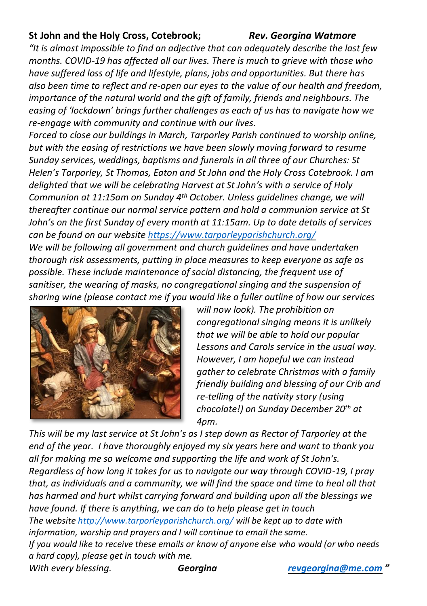#### **St John and the Holy Cross, Cotebrook;** *Rev. Georgina Watmore*

*"It is almost impossible to find an adjective that can adequately describe the last few months. COVID-19 has affected all our lives. There is much to grieve with those who have suffered loss of life and lifestyle, plans, jobs and opportunities. But there has also been time to reflect and re-open our eyes to the value of our health and freedom, importance of the natural world and the gift of family, friends and neighbours. The easing of 'lockdown' brings further challenges as each of us has to navigate how we re-engage with community and continue with our lives.* 

*Forced to close our buildings in March, Tarporley Parish continued to worship online, but with the easing of restrictions we have been slowly moving forward to resume Sunday services, weddings, baptisms and funerals in all three of our Churches: St Helen's Tarporley, St Thomas, Eaton and St John and the Holy Cross Cotebrook. I am delighted that we will be celebrating Harvest at St John's with a service of Holy Communion at 11:15am on Sunday 4th October. Unless guidelines change, we will thereafter continue our normal service pattern and hold a communion service at St John's on the first Sunday of every month at 11:15am. Up to date details of services can be found on our website<https://www.tarporleyparishchurch.org/> We will be following all government and church guidelines and have undertaken thorough risk assessments, putting in place measures to keep everyone as safe as possible. These include maintenance of social distancing, the frequent use of sanitiser, the wearing of masks, no congregational singing and the suspension of sharing wine (please contact me if you would like a fuller outline of how our services* 



*will now look). The prohibition on congregational singing means it is unlikely that we will be able to hold our popular Lessons and Carols service in the usual way. However, I am hopeful we can instead gather to celebrate Christmas with a family friendly building and blessing of our Crib and re-telling of the nativity story (using chocolate!) on Sunday December 20th at 4pm.* 

*This will be my last service at St John's as I step down as Rector of Tarporley at the end of the year. I have thoroughly enjoyed my six years here and want to thank you all for making me so welcome and supporting the life and work of St John's. Regardless of how long it takes for us to navigate our way through COVID-19, I pray that, as individuals and a community, we will find the space and time to heal all that has harmed and hurt whilst carrying forward and building upon all the blessings we have found. If there is anything, we can do to help please get in touch The websit[e http://www.tarporleyparishchurch.org/](http://www.tarporleyparishchurch.org/) will be kept up to date with information, worship and prayers and I will continue to email the same. If you would like to receive these emails or know of anyone else who would (or who needs a hard copy), please get in touch with me. With every blessing. Georgina [revgeorgina@me.com](mailto:revgeorgina@me.com) "*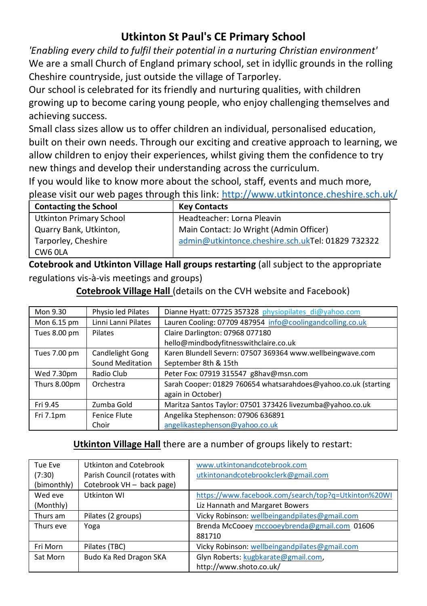## **Utkinton St Paul's CE Primary School**

*'Enabling every child to fulfil their potential in a nurturing Christian environment'* We are a small Church of England primary school, set in idyllic grounds in the rolling Cheshire countryside, just outside the village of Tarporley.

Our school is celebrated for its friendly and nurturing qualities, with children growing up to become caring young people, who enjoy challenging themselves and achieving success.

Small class sizes allow us to offer children an individual, personalised education, built on their own needs. Through our exciting and creative approach to learning, we allow children to enjoy their experiences, whilst giving them the confidence to try new things and develop their understanding across the curriculum.

If you would like to know more about the school, staff, events and much more, please visit our web pages through this link[: http://www.utkintonce.cheshire.sch.uk/](http://www.utkintonce.cheshire.sch.uk/)

| <b>Contacting the School</b> | <b>Key Contacts</b>                               |
|------------------------------|---------------------------------------------------|
| Utkinton Primary School      | Headteacher: Lorna Pleavin                        |
| Quarry Bank, Utkinton,       | Main Contact: Jo Wright (Admin Officer)           |
| Tarporley, Cheshire          | admin@utkintonce.cheshire.sch.ukTel: 01829 732322 |
| CW6 0LA                      |                                                   |

**Cotebrook and Utkinton Village Hall groups restarting** (all subject to the appropriate regulations vis-à-vis meetings and groups)

| Mon 9.30     | Physio led Pilates  | Dianne Hyatt: 07725 357328 physiopilates di@yahoo.com          |
|--------------|---------------------|----------------------------------------------------------------|
| Mon 6.15 pm  | Linni Lanni Pilates | Lauren Cooling: 07709 487954 info@coolingandcolling.co.uk      |
| Tues 8.00 pm | Pilates             | Claire Darlington: 07968 077180                                |
|              |                     | hello@mindbodyfitnesswithclaire.co.uk                          |
| Tues 7.00 pm | Candlelight Gong    | Karen Blundell Severn: 07507 369364 www.wellbeingwave.com      |
|              | Sound Meditation    | September 8th & 15th                                           |
| Wed 7.30pm   | Radio Club          | Peter Fox: 07919 315547 g8hav@msn.com                          |
| Thurs 8.00pm | Orchestra           | Sarah Cooper: 01829 760654 whatsarahdoes@yahoo.co.uk (starting |
|              |                     | again in October)                                              |
| Fri 9.45     | Zumba Gold          | Maritza Santos Taylor: 07501 373426 livezumba@yahoo.co.uk      |
| Fri 7.1pm    | Fenice Flute        | Angelika Stephenson: 07906 636891                              |
|              | Choir               | angelikastephenson@yahoo.co.uk                                 |

#### **Cotebrook Village Hall** (details on the CVH website and Facebook)

#### **Utkinton Village Hall** there are a number of groups likely to restart:

| Tue Eve     | Utkinton and Cotebrook       | www.utkintonandcotebrook.com                        |
|-------------|------------------------------|-----------------------------------------------------|
| (7:30)      | Parish Council (rotates with | utkintonandcotebrookclerk@gmail.com                 |
| (bimonthly) | Cotebrook VH - back page)    |                                                     |
| Wed eve     | Utkinton WI                  | https://www.facebook.com/search/top?q=Utkinton%20WI |
| (Monthly)   |                              | Liz Hannath and Margaret Bowers                     |
| Thurs am    | Pilates (2 groups)           | Vicky Robinson: wellbeingandpilates@gmail.com       |
| Thurs eve   | Yoga                         | Brenda McCooey mccooeybrenda@gmail.com 01606        |
|             |                              | 881710                                              |
| Fri Morn    | Pilates (TBC)                | Vicky Robinson: wellbeingandpilates@gmail.com       |
| Sat Morn    | Budo Ka Red Dragon SKA       | Glyn Roberts: kugbkarate@gmail.com,                 |
|             |                              | http://www.shoto.co.uk/                             |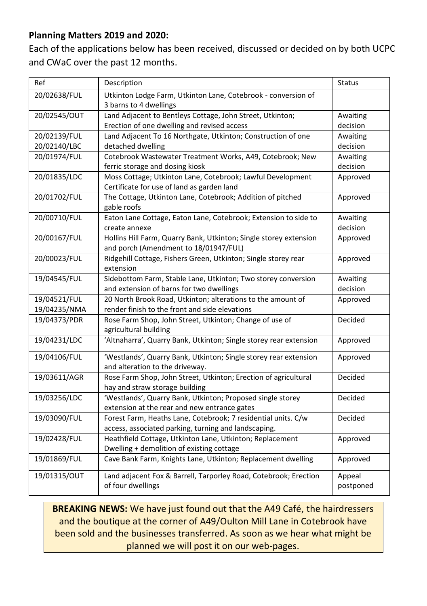#### **Planning Matters 2019 and 2020:**

Each of the applications below has been received, discussed or decided on by both UCPC and CWaC over the past 12 months.

| Ref          | Description                                                                             | Status    |
|--------------|-----------------------------------------------------------------------------------------|-----------|
| 20/02638/FUL | Utkinton Lodge Farm, Utkinton Lane, Cotebrook - conversion of<br>3 barns to 4 dwellings |           |
| 20/02545/OUT | Land Adjacent to Bentleys Cottage, John Street, Utkinton;                               | Awaiting  |
|              | Erection of one dwelling and revised access                                             | decision  |
| 20/02139/FUL | Land Adjacent To 16 Northgate, Utkinton; Construction of one                            | Awaiting  |
| 20/02140/LBC | detached dwelling                                                                       | decision  |
| 20/01974/FUL | Cotebrook Wastewater Treatment Works, A49, Cotebrook; New                               | Awaiting  |
|              | ferric storage and dosing kiosk                                                         | decision  |
| 20/01835/LDC | Moss Cottage; Utkinton Lane, Cotebrook; Lawful Development                              | Approved  |
|              | Certificate for use of land as garden land                                              |           |
| 20/01702/FUL | The Cottage, Utkinton Lane, Cotebrook; Addition of pitched                              | Approved  |
|              | gable roofs                                                                             |           |
| 20/00710/FUL | Eaton Lane Cottage, Eaton Lane, Cotebrook; Extension to side to                         | Awaiting  |
|              | create annexe                                                                           | decision  |
| 20/00167/FUL | Hollins Hill Farm, Quarry Bank, Utkinton; Single storey extension                       | Approved  |
|              | and porch (Amendment to 18/01947/FUL)                                                   |           |
| 20/00023/FUL | Ridgehill Cottage, Fishers Green, Utkinton; Single storey rear                          | Approved  |
|              | extension                                                                               |           |
| 19/04545/FUL | Sidebottom Farm, Stable Lane, Utkinton; Two storey conversion                           | Awaiting  |
|              | and extension of barns for two dwellings                                                | decision  |
| 19/04521/FUL | 20 North Brook Road, Utkinton; alterations to the amount of                             | Approved  |
| 19/04235/NMA | render finish to the front and side elevations                                          |           |
| 19/04373/PDR | Rose Farm Shop, John Street, Utkinton; Change of use of                                 | Decided   |
|              | agricultural building                                                                   |           |
| 19/04231/LDC | 'Altnaharra', Quarry Bank, Utkinton; Single storey rear extension                       | Approved  |
| 19/04106/FUL | 'Westlands', Quarry Bank, Utkinton; Single storey rear extension                        | Approved  |
|              | and alteration to the driveway.                                                         |           |
| 19/03611/AGR | Rose Farm Shop, John Street, Utkinton; Erection of agricultural                         | Decided   |
|              | hay and straw storage building                                                          |           |
| 19/03256/LDC | 'Westlands', Quarry Bank, Utkinton; Proposed single storey                              | Decided   |
|              | extension at the rear and new entrance gates                                            |           |
| 19/03090/FUL | Forest Farm, Heaths Lane, Cotebrook; 7 residential units. C/w                           | Decided   |
|              | access, associated parking, turning and landscaping.                                    |           |
| 19/02428/FUL | Heathfield Cottage, Utkinton Lane, Utkinton; Replacement                                | Approved  |
|              | Dwelling + demolition of existing cottage                                               |           |
| 19/01869/FUL | Cave Bank Farm, Knights Lane, Utkinton; Replacement dwelling                            | Approved  |
| 19/01315/OUT | Land adjacent Fox & Barrell, Tarporley Road, Cotebrook; Erection                        | Appeal    |
|              | of four dwellings                                                                       | postponed |

**BREAKING NEWS:** We have just found out that the A49 Café, the hairdressers and the boutique at the corner of A49/Oulton Mill Lane in Cotebrook have been sold and the businesses transferred. As soon as we hear what might be planned we will post it on our web-pages.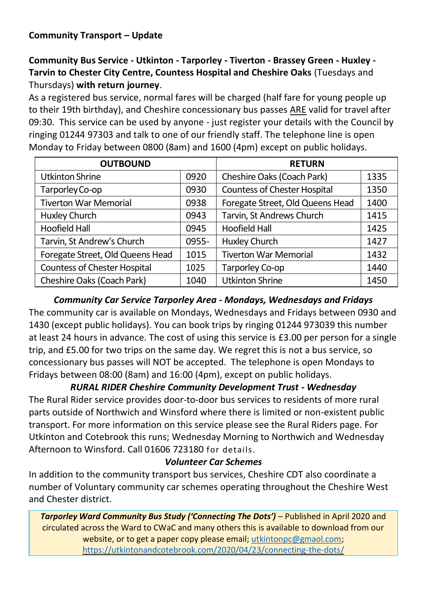**Community Bus Service - Utkinton - Tarporley - Tiverton - Brassey Green - Huxley - Tarvin to Chester City Centre, Countess Hospital and Cheshire Oaks** (Tuesdays and Thursdays) **with return journey**.

As a registered bus service, normal fares will be charged (half fare for young people up to their 19th birthday), and Cheshire concessionary bus passes ARE valid for travel after 09:30. This service can be used by anyone - just register your details with the Council by ringing 01244 97303 and talk to one of our friendly staff. The telephone line is open Monday to Friday between 0800 (8am) and 1600 (4pm) except on public holidays.

| <b>OUTBOUND</b>                     |       | <b>RETURN</b>                       |      |
|-------------------------------------|-------|-------------------------------------|------|
| Utkinton Shrine                     | 0920  | Cheshire Oaks (Coach Park)          | 1335 |
| Tarporley Co-op                     | 0930  | <b>Countess of Chester Hospital</b> | 1350 |
| <b>Tiverton War Memorial</b>        | 0938  | Foregate Street, Old Queens Head    | 1400 |
| Huxley Church                       | 0943  | Tarvin, St Andrews Church           | 1415 |
| Hoofield Hall                       | 0945  | <b>Hoofield Hall</b>                | 1425 |
| Tarvin, St Andrew's Church          | 0955- | Huxley Church                       | 1427 |
| Foregate Street, Old Queens Head    | 1015  | <b>Tiverton War Memorial</b>        | 1432 |
| <b>Countess of Chester Hospital</b> | 1025  | Tarporley Co-op                     | 1440 |
| Cheshire Oaks (Coach Park)          | 1040  | <b>Utkinton Shrine</b>              | 1450 |

*Community Car Service Tarporley Area - Mondays, Wednesdays and Fridays* The community car is available on Mondays, Wednesdays and Fridays between 0930 and 1430 (except public holidays). You can book trips by ringing 01244 973039 this number at least 24 hours in advance. The cost of using this service is £3.00 per person for a single trip, and £5.00 for two trips on the same day. We regret this is not a bus service, so concessionary bus passes will NOT be accepted. The telephone is open Mondays to Fridays between 08:00 (8am) and 16:00 (4pm), except on public holidays.

*RURAL RIDER Cheshire Community Development Trust - Wednesday* The Rural Rider service provides door-to-door bus services to residents of more rural parts outside of Northwich and Winsford where there is limited or non-existent public transport. For more information on this service please see the Rural Riders page. For Utkinton and Cotebrook this runs; Wednesday Morning to Northwich and Wednesday Afternoon to Winsford. Call 01606 723180 for details.

#### *Volunteer Car Schemes*

In addition to the community transport bus services, Cheshire CDT also coordinate a number of Voluntary community car schemes operating throughout the Cheshire West and Chester district.

*Tarporley Ward Community Bus Study ('Connecting The Dots')* – Published in April 2020 and circulated across the Ward to CWaC and many others this is available to download from our website, or to get a paper copy please email; [utkintonpc@gmaol.com;](mailto:utkintonpc@gmaol.com) <https://utkintonandcotebrook.com/2020/04/23/connecting-the-dots/>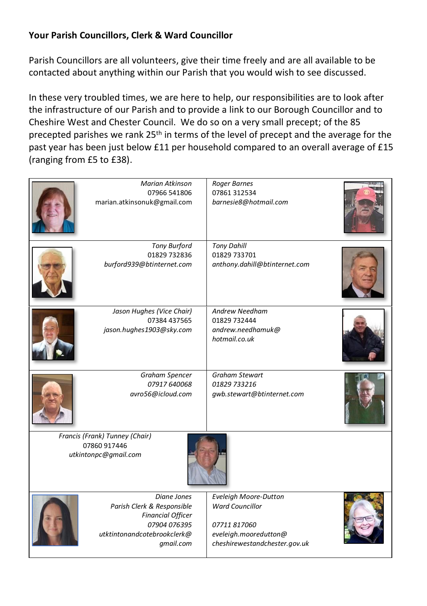#### **Your Parish Councillors, Clerk & Ward Councillor**

Parish Councillors are all volunteers, give their time freely and are all available to be contacted about anything within our Parish that you would wish to see discussed.

In these very troubled times, we are here to help, our responsibilities are to look after the infrastructure of our Parish and to provide a link to our Borough Councillor and to Cheshire West and Chester Council. We do so on a very small precept; of the 85 precepted parishes we rank 25<sup>th</sup> in terms of the level of precept and the average for the past year has been just below £11 per household compared to an overall average of £15 (ranging from £5 to £38).

| Marian Atkinson<br>07966 541806<br>marian.atkinsonuk@gmail.com                                                                    | <b>Roger Barnes</b><br>07861 312534<br>barnesie8@hotmail.com                                                              |  |
|-----------------------------------------------------------------------------------------------------------------------------------|---------------------------------------------------------------------------------------------------------------------------|--|
| <b>Tony Burford</b><br>01829 732836<br>burford939@btinternet.com                                                                  | <b>Tony Dahill</b><br>01829 733701<br>anthony.dahill@btinternet.com                                                       |  |
| Jason Hughes (Vice Chair)<br>07384 437565<br>jason.hughes1903@sky.com                                                             | <b>Andrew Needham</b><br>01829 732444<br>andrew.needhamuk@<br>hotmail.co.uk                                               |  |
| <b>Graham Spencer</b><br>07917 640068<br>avro56@icloud.com                                                                        | <b>Graham Stewart</b><br>01829 733216<br>qwb.stewart@btinternet.com                                                       |  |
| Francis (Frank) Tunney (Chair)<br>07860 917446<br>utkintonpc@gmail.com                                                            |                                                                                                                           |  |
| Diane Jones<br>Parish Clerk & Responsible<br><b>Financial Officer</b><br>07904 076395<br>utktintonandcotebrookclerk@<br>gmail.com | Eveleigh Moore-Dutton<br><b>Ward Councillor</b><br>07711 817060<br>eveleigh.mooredutton@<br>cheshirewestandchester.gov.uk |  |